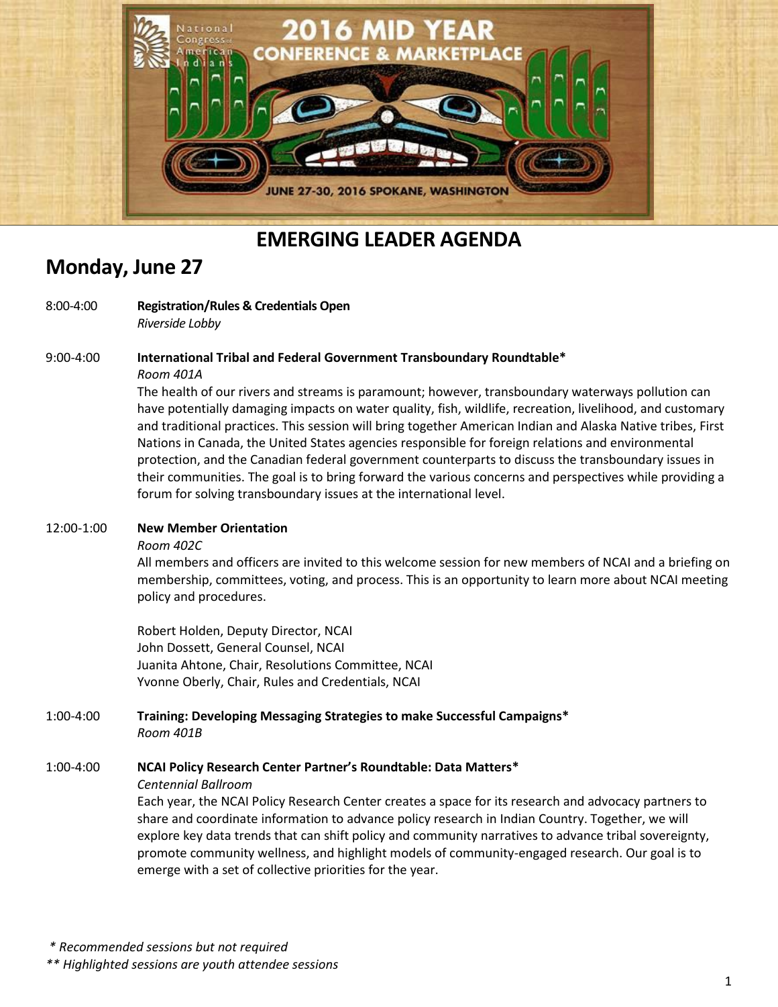

## **EMERGING LEADER AGENDA**

### **Monday, June 27**

#### 8:00-4:00 **Registration/Rules & Credentials Open** *Riverside Lobby*

9:00-4:00 **International Tribal and Federal Government Transboundary Roundtable\***

#### *Room 401A*

The health of our rivers and streams is paramount; however, transboundary waterways pollution can have potentially damaging impacts on water quality, fish, wildlife, recreation, livelihood, and customary and traditional practices. This session will bring together American Indian and Alaska Native tribes, First Nations in Canada, the United States agencies responsible for foreign relations and environmental protection, and the Canadian federal government counterparts to discuss the transboundary issues in their communities. The goal is to bring forward the various concerns and perspectives while providing a forum for solving transboundary issues at the international level.

#### 12:00-1:00 **New Member Orientation**

#### *Room 402C*

All members and officers are invited to this welcome session for new members of NCAI and a briefing on membership, committees, voting, and process. This is an opportunity to learn more about NCAI meeting policy and procedures.

Robert Holden, Deputy Director, NCAI John Dossett, General Counsel, NCAI Juanita Ahtone, Chair, Resolutions Committee, NCAI Yvonne Oberly, Chair, Rules and Credentials, NCAI

#### 1:00-4:00 **Training: Developing Messaging Strategies to make Successful Campaigns\***  *Room 401B*

### 1:00-4:00 **NCAI Policy Research Center Partner's Roundtable: Data Matters\***

*Centennial Ballroom*

Each year, the NCAI Policy Research Center creates a space for its research and advocacy partners to share and coordinate information to advance policy research in Indian Country. Together, we will explore key data trends that can shift policy and community narratives to advance tribal sovereignty, promote community wellness, and highlight models of community-engaged research. Our goal is to emerge with a set of collective priorities for the year.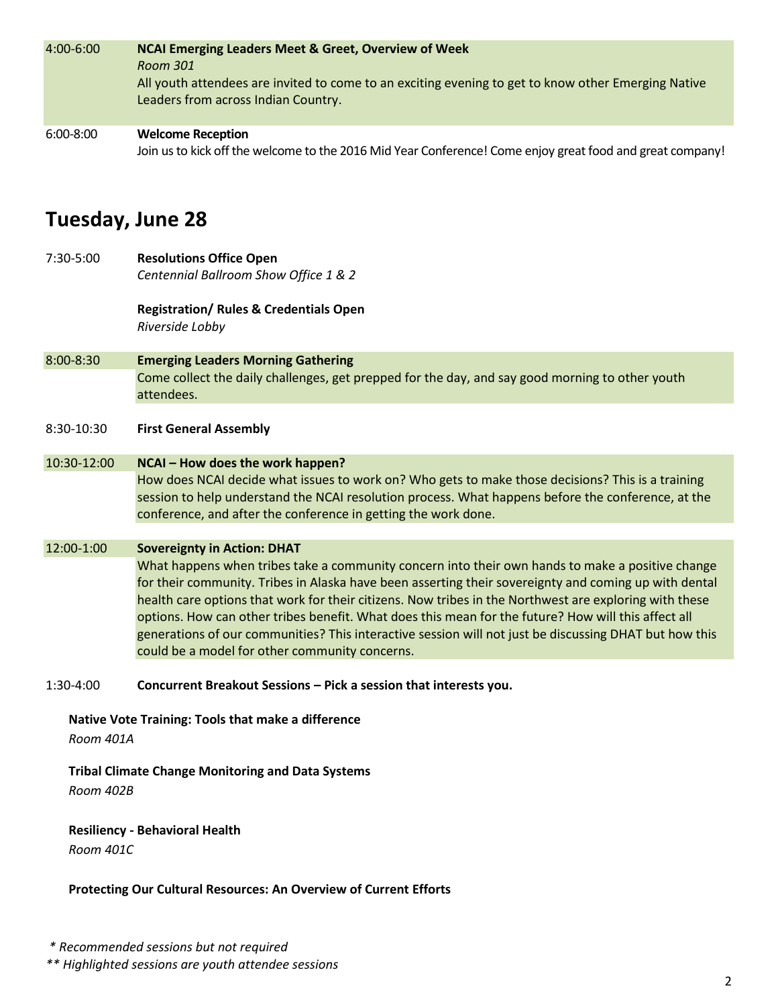| 4:00-6:00     | <b>NCAI Emerging Leaders Meet &amp; Greet, Overview of Week</b><br>Room 301<br>All youth attendees are invited to come to an exciting evening to get to know other Emerging Native<br>Leaders from across Indian Country. |
|---------------|---------------------------------------------------------------------------------------------------------------------------------------------------------------------------------------------------------------------------|
| $6:00 - 8:00$ | <b>Welcome Reception</b><br>Join us to kick off the welcome to the 2016 Mid Year Conference! Come enjoy great food and great company!                                                                                     |

### **Tuesday, June 28**

7:30-5:00 **Resolutions Office Open**  *Centennial Ballroom Show Office 1 & 2*

> **Registration/ Rules & Credentials Open** *Riverside Lobby*

- 8:00-8:30 **Emerging Leaders Morning Gathering** Come collect the daily challenges, get prepped for the day, and say good morning to other youth attendees.
- 8:30-10:30 **First General Assembly**

#### 10:30-12:00 **NCAI – How does the work happen?**

How does NCAI decide what issues to work on? Who gets to make those decisions? This is a training session to help understand the NCAI resolution process. What happens before the conference, at the conference, and after the conference in getting the work done.

#### 12:00-1:00 **Sovereignty in Action: DHAT**

What happens when tribes take a community concern into their own hands to make a positive change for their community. Tribes in Alaska have been asserting their sovereignty and coming up with dental health care options that work for their citizens. Now tribes in the Northwest are exploring with these options. How can other tribes benefit. What does this mean for the future? How will this affect all generations of our communities? This interactive session will not just be discussing DHAT but how this could be a model for other community concerns.

1:30-4:00 **Concurrent Breakout Sessions – Pick a session that interests you.**

**Native Vote Training: Tools that make a difference**

*Room 401A*

### **Tribal Climate Change Monitoring and Data Systems**

*Room 402B*

### **Resiliency - Behavioral Health**

*Room 401C*

#### **Protecting Our Cultural Resources: An Overview of Current Efforts**

*\*\* Highlighted sessions are youth attendee sessions*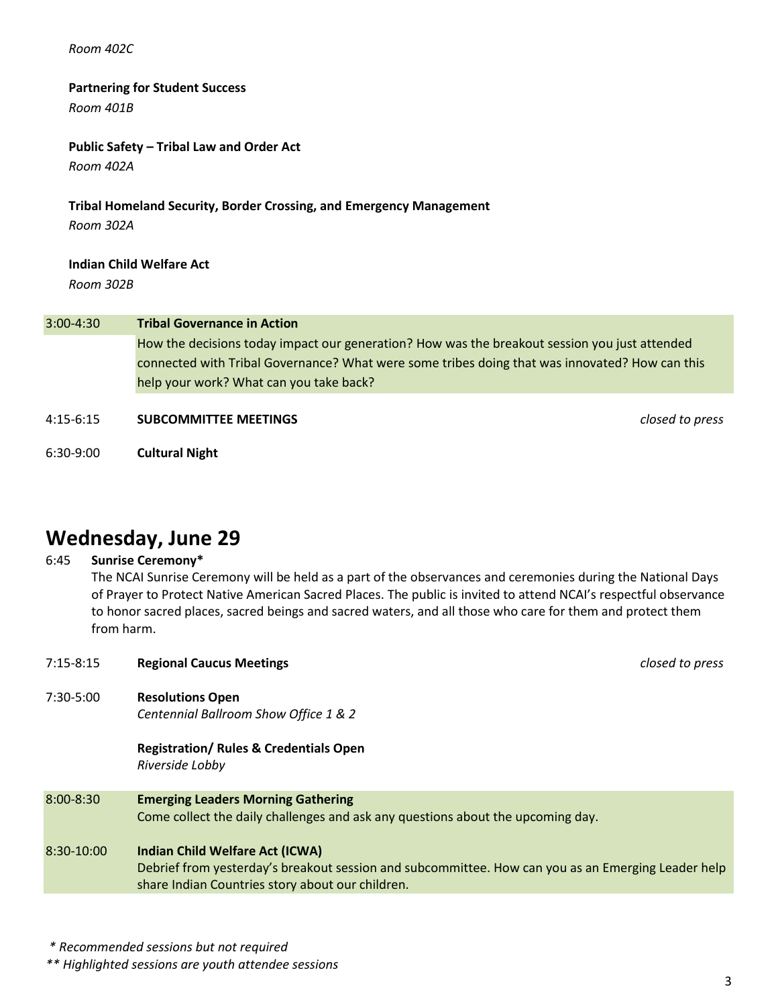#### *Room 402C*

#### **Partnering for Student Success**

*Room 401B*

#### **Public Safety – Tribal Law and Order Act**

*Room 402A*

## **Tribal Homeland Security, Border Crossing, and Emergency Management**

*Room 302A*

#### **Indian Child Welfare Act**

*Room 302B*

#### 3:00-4:30 **Tribal Governance in Action**

How the decisions today impact our generation? How was the breakout session you just attended connected with Tribal Governance? What were some tribes doing that was innovated? How can this help your work? What can you take back?

#### 4:15-6:15 **SUBCOMMITTEE MEETINGS** *closed to press*

6:30-9:00 **Cultural Night**

## **Wednesday, June 29**

#### 6:45 **Sunrise Ceremony\***

The NCAI Sunrise Ceremony will be held as a part of the observances and ceremonies during the National Days of Prayer to Protect Native American Sacred Places. The public is invited to attend NCAI's respectful observance to honor sacred places, sacred beings and sacred waters, and all those who care for them and protect them from harm.

| $7:15 - 8:15$ | <b>Regional Caucus Meetings</b>                                                                                                                                                                  | closed to press |
|---------------|--------------------------------------------------------------------------------------------------------------------------------------------------------------------------------------------------|-----------------|
| 7:30-5:00     | <b>Resolutions Open</b><br>Centennial Ballroom Show Office 1 & 2                                                                                                                                 |                 |
|               | <b>Registration/ Rules &amp; Credentials Open</b><br>Riverside Lobby                                                                                                                             |                 |
| 8:00-8:30     | <b>Emerging Leaders Morning Gathering</b><br>Come collect the daily challenges and ask any questions about the upcoming day.                                                                     |                 |
| $8:30-10:00$  | <b>Indian Child Welfare Act (ICWA)</b><br>Debrief from yesterday's breakout session and subcommittee. How can you as an Emerging Leader help<br>share Indian Countries story about our children. |                 |
|               |                                                                                                                                                                                                  |                 |

*\* Recommended sessions but not required*

*\*\* Highlighted sessions are youth attendee sessions*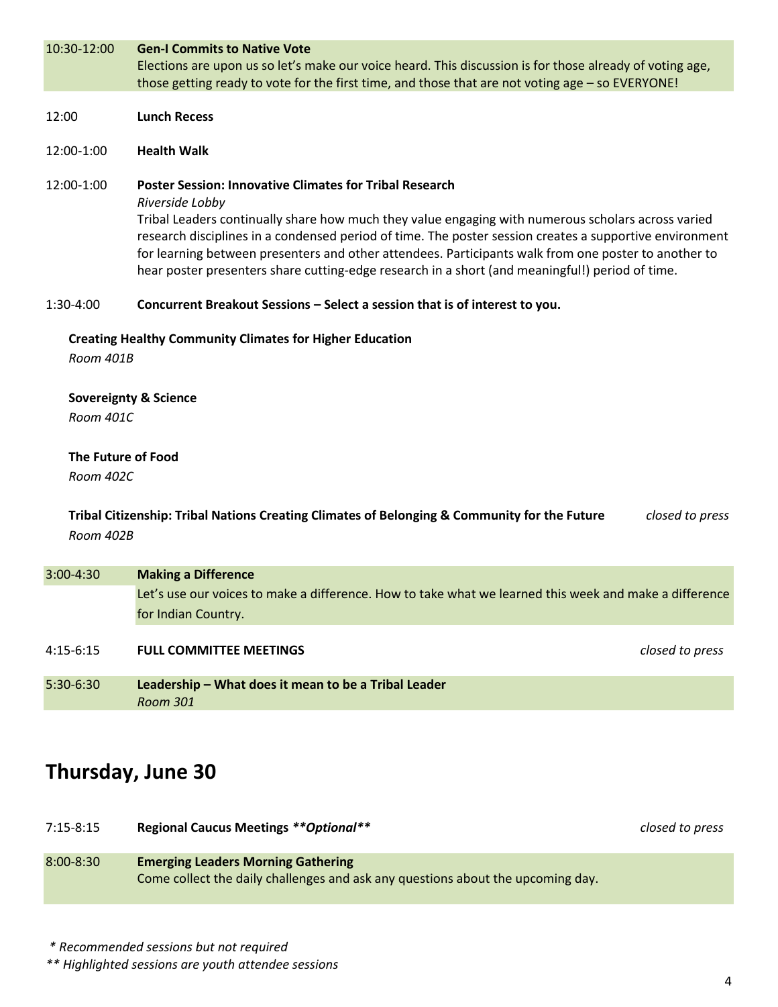| 10:30-12:00                                   | <b>Gen-I Commits to Native Vote</b><br>Elections are upon us so let's make our voice heard. This discussion is for those already of voting age,<br>those getting ready to vote for the first time, and those that are not voting age - so EVERYONE!                                                                                                                                                                                                                                                           |                 |
|-----------------------------------------------|---------------------------------------------------------------------------------------------------------------------------------------------------------------------------------------------------------------------------------------------------------------------------------------------------------------------------------------------------------------------------------------------------------------------------------------------------------------------------------------------------------------|-----------------|
| 12:00                                         | <b>Lunch Recess</b>                                                                                                                                                                                                                                                                                                                                                                                                                                                                                           |                 |
| 12:00-1:00                                    | <b>Health Walk</b>                                                                                                                                                                                                                                                                                                                                                                                                                                                                                            |                 |
| 12:00-1:00                                    | <b>Poster Session: Innovative Climates for Tribal Research</b><br>Riverside Lobby<br>Tribal Leaders continually share how much they value engaging with numerous scholars across varied<br>research disciplines in a condensed period of time. The poster session creates a supportive environment<br>for learning between presenters and other attendees. Participants walk from one poster to another to<br>hear poster presenters share cutting-edge research in a short (and meaningful!) period of time. |                 |
| 1:30-4:00                                     | Concurrent Breakout Sessions - Select a session that is of interest to you.                                                                                                                                                                                                                                                                                                                                                                                                                                   |                 |
| Room 401B                                     | <b>Creating Healthy Community Climates for Higher Education</b>                                                                                                                                                                                                                                                                                                                                                                                                                                               |                 |
| <b>Sovereignty &amp; Science</b><br>Room 401C |                                                                                                                                                                                                                                                                                                                                                                                                                                                                                                               |                 |
| The Future of Food<br>Room 402C               |                                                                                                                                                                                                                                                                                                                                                                                                                                                                                                               |                 |
| Room 402B                                     | Tribal Citizenship: Tribal Nations Creating Climates of Belonging & Community for the Future                                                                                                                                                                                                                                                                                                                                                                                                                  | closed to press |
| 3:00-4:30                                     | <b>Making a Difference</b>                                                                                                                                                                                                                                                                                                                                                                                                                                                                                    |                 |
|                                               | Let's use our voices to make a difference. How to take what we learned this week and make a difference<br>for Indian Country.                                                                                                                                                                                                                                                                                                                                                                                 |                 |
| $4:15-6:15$                                   | <b>FULL COMMITTEE MEETINGS</b>                                                                                                                                                                                                                                                                                                                                                                                                                                                                                | closed to press |
| 5:30-6:30                                     | Leadership - What does it mean to be a Tribal Leader<br><b>Room 301</b>                                                                                                                                                                                                                                                                                                                                                                                                                                       |                 |

# **Thursday, June 30**

7:15-8:15 **Regional Caucus Meetings** *\*\*Optional\*\* closed to press*  8:00-8:30 **Emerging Leaders Morning Gathering** Come collect the daily challenges and ask any questions about the upcoming day.

*\* Recommended sessions but not required*

*\*\* Highlighted sessions are youth attendee sessions*